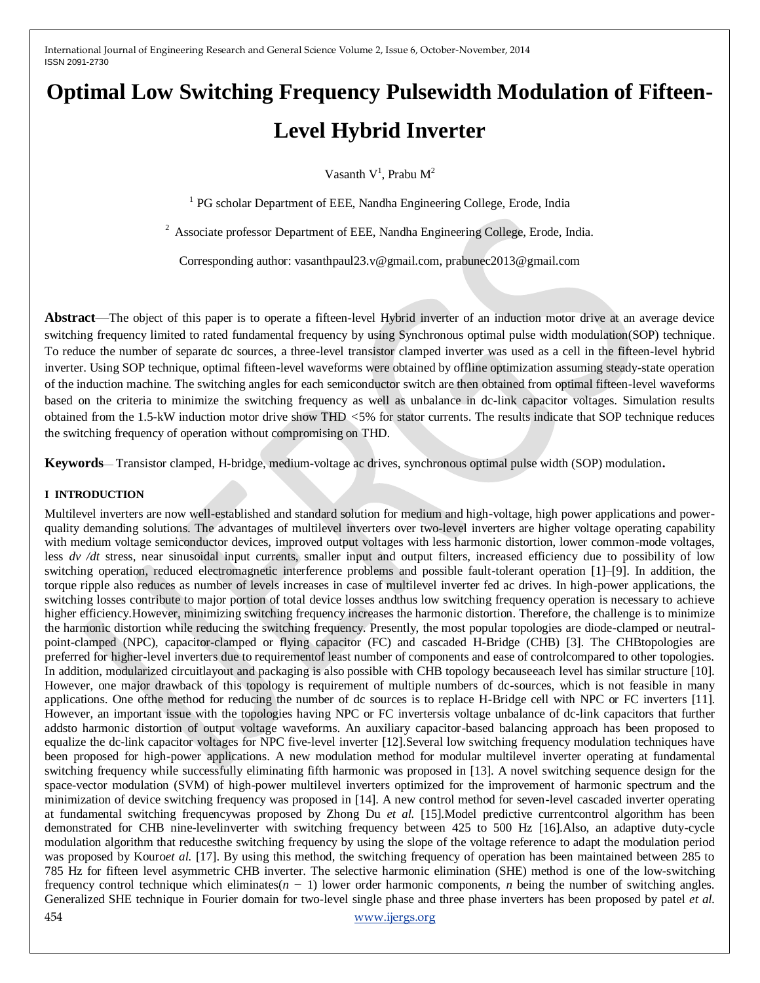# **Optimal Low Switching Frequency Pulsewidth Modulation of Fifteen-Level Hybrid Inverter**

Vasanth  $V^1$ , Prabu  $M^2$ 

<sup>1</sup> PG scholar Department of EEE, Nandha Engineering College, Erode, India

 $2$  Associate professor Department of EEE, Nandha Engineering College, Erode, India.

Corresponding author: vasanthpaul23.v@gmail.com, prabunec2013@gmail.com

**Abstract**—The object of this paper is to operate a fifteen-level Hybrid inverter of an induction motor drive at an average device switching frequency limited to rated fundamental frequency by using Synchronous optimal pulse width modulation(SOP) technique. To reduce the number of separate dc sources, a three-level transistor clamped inverter was used as a cell in the fifteen-level hybrid inverter. Using SOP technique, optimal fifteen-level waveforms were obtained by offline optimization assuming steady-state operation of the induction machine. The switching angles for each semiconductor switch are then obtained from optimal fifteen-level waveforms based on the criteria to minimize the switching frequency as well as unbalance in dc-link capacitor voltages. Simulation results obtained from the 1.5-kW induction motor drive show THD *<*5% for stator currents. The results indicate that SOP technique reduces the switching frequency of operation without compromising on THD.

**Keywords**— Transistor clamped, H-bridge, medium-voltage ac drives, synchronous optimal pulse width (SOP) modulation**.**

#### **I INTRODUCTION**

454 [www.ijergs.org](http://www.ijergs.org/) Multilevel inverters are now well-established and standard solution for medium and high-voltage, high power applications and powerquality demanding solutions. The advantages of multilevel inverters over two-level inverters are higher voltage operating capability with medium voltage semiconductor devices, improved output voltages with less harmonic distortion, lower common-mode voltages, less *dv /dt* stress, near sinusoidal input currents, smaller input and output filters, increased efficiency due to possibility of low switching operation, reduced electromagnetic interference problems and possible fault-tolerant operation [1]–[9]. In addition, the torque ripple also reduces as number of levels increases in case of multilevel inverter fed ac drives. In high-power applications, the switching losses contribute to major portion of total device losses andthus low switching frequency operation is necessary to achieve higher efficiency. However, minimizing switching frequency increases the harmonic distortion. Therefore, the challenge is to minimize the harmonic distortion while reducing the switching frequency. Presently, the most popular topologies are diode-clamped or neutralpoint-clamped (NPC), capacitor-clamped or flying capacitor (FC) and cascaded H-Bridge (CHB) [3]. The CHBtopologies are preferred for higher-level inverters due to requirementof least number of components and ease of controlcompared to other topologies. In addition, modularized circuitlayout and packaging is also possible with CHB topology becauseeach level has similar structure [10]. However, one major drawback of this topology is requirement of multiple numbers of dc-sources, which is not feasible in many applications. One ofthe method for reducing the number of dc sources is to replace H-Bridge cell with NPC or FC inverters [11]. However, an important issue with the topologies having NPC or FC invertersis voltage unbalance of dc-link capacitors that further addsto harmonic distortion of output voltage waveforms. An auxiliary capacitor-based balancing approach has been proposed to equalize the dc-link capacitor voltages for NPC five-level inverter [12].Several low switching frequency modulation techniques have been proposed for high-power applications. A new modulation method for modular multilevel inverter operating at fundamental switching frequency while successfully eliminating fifth harmonic was proposed in [13]. A novel switching sequence design for the space-vector modulation (SVM) of high-power multilevel inverters optimized for the improvement of harmonic spectrum and the minimization of device switching frequency was proposed in [14]. A new control method for seven-level cascaded inverter operating at fundamental switching frequencywas proposed by Zhong Du *et al.* [15].Model predictive currentcontrol algorithm has been demonstrated for CHB nine-levelinverter with switching frequency between 425 to 500 Hz [16].Also, an adaptive duty-cycle modulation algorithm that reducesthe switching frequency by using the slope of the voltage reference to adapt the modulation period was proposed by Kouro*et al.* [17]. By using this method, the switching frequency of operation has been maintained between 285 to 785 Hz for fifteen level asymmetric CHB inverter. The selective harmonic elimination (SHE) method is one of the low-switching frequency control technique which eliminates(*n −* 1) lower order harmonic components, *n* being the number of switching angles. Generalized SHE technique in Fourier domain for two-level single phase and three phase inverters has been proposed by patel *et al.*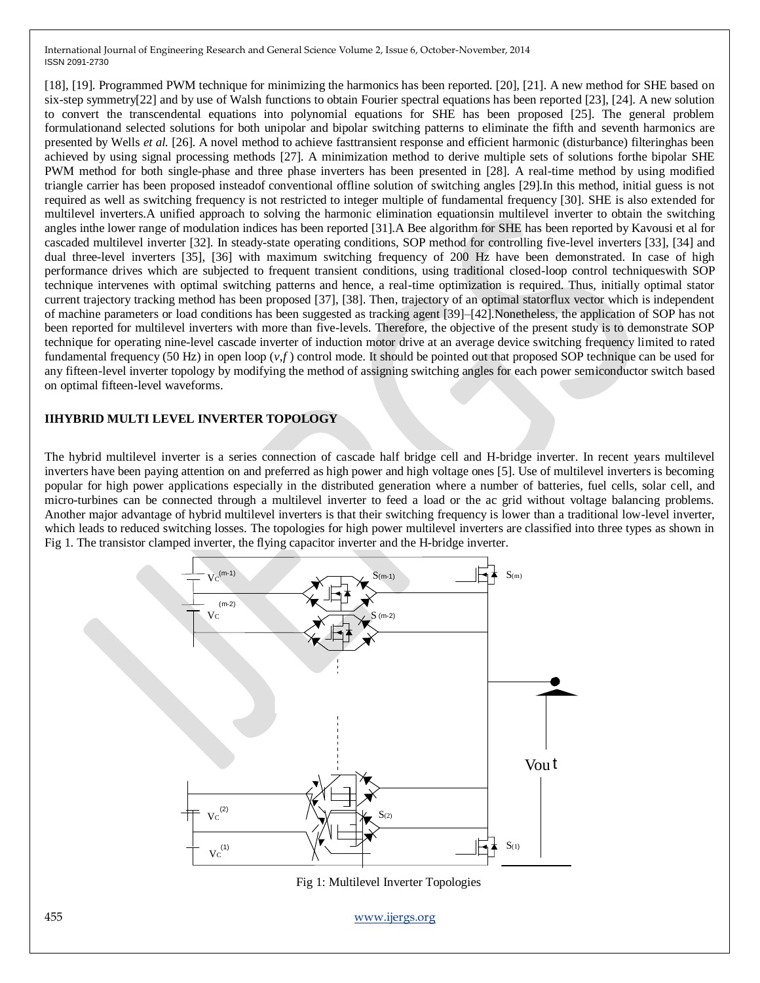[18], [19]. Programmed PWM technique for minimizing the harmonics has been reported. [20], [21]. A new method for SHE based on six-step symmetry[22] and by use of Walsh functions to obtain Fourier spectral equations has been reported [23], [24]. A new solution to convert the transcendental equations into polynomial equations for SHE has been proposed [25]. The general problem formulationand selected solutions for both unipolar and bipolar switching patterns to eliminate the fifth and seventh harmonics are presented by Wells *et al.* [26]. A novel method to achieve fasttransient response and efficient harmonic (disturbance) filteringhas been achieved by using signal processing methods [27]. A minimization method to derive multiple sets of solutions forthe bipolar SHE PWM method for both single-phase and three phase inverters has been presented in [28]. A real-time method by using modified triangle carrier has been proposed insteadof conventional offline solution of switching angles [29].In this method, initial guess is not required as well as switching frequency is not restricted to integer multiple of fundamental frequency [30]. SHE is also extended for multilevel inverters.A unified approach to solving the harmonic elimination equationsin multilevel inverter to obtain the switching angles inthe lower range of modulation indices has been reported [31].A Bee algorithm for SHE has been reported by Kavousi et al for cascaded multilevel inverter [32]. In steady-state operating conditions, SOP method for controlling five-level inverters [33], [34] and dual three-level inverters [35], [36] with maximum switching frequency of 200 Hz have been demonstrated. In case of high performance drives which are subjected to frequent transient conditions, using traditional closed-loop control techniqueswith SOP technique intervenes with optimal switching patterns and hence, a real-time optimization is required. Thus, initially optimal stator current trajectory tracking method has been proposed [37], [38]. Then, trajectory of an optimal statorflux vector which is independent of machine parameters or load conditions has been suggested as tracking agent [39]–[42].Nonetheless, the application of SOP has not been reported for multilevel inverters with more than five-levels. Therefore, the objective of the present study is to demonstrate SOP technique for operating nine-level cascade inverter of induction motor drive at an average device switching frequency limited to rated fundamental frequency (50 Hz) in open loop  $(v, f)$  control mode. It should be pointed out that proposed SOP technique can be used for any fifteen-level inverter topology by modifying the method of assigning switching angles for each power semiconductor switch based on optimal fifteen-level waveforms.

### **IIHYBRID MULTI LEVEL INVERTER TOPOLOGY**

The hybrid multilevel inverter is a series connection of cascade half bridge cell and H-bridge inverter. In recent years multilevel inverters have been paying attention on and preferred as high power and high voltage ones [5]. Use of multilevel inverters is becoming popular for high power applications especially in the distributed generation where a number of batteries, fuel cells, solar cell, and micro-turbines can be connected through a multilevel inverter to feed a load or the ac grid without voltage balancing problems. Another major advantage of hybrid multilevel inverters is that their switching frequency is lower than a traditional low-level inverter, which leads to reduced switching losses. The topologies for high power multilevel inverters are classified into three types as shown in Fig 1. The transistor clamped inverter, the flying capacitor inverter and the H-bridge inverter.

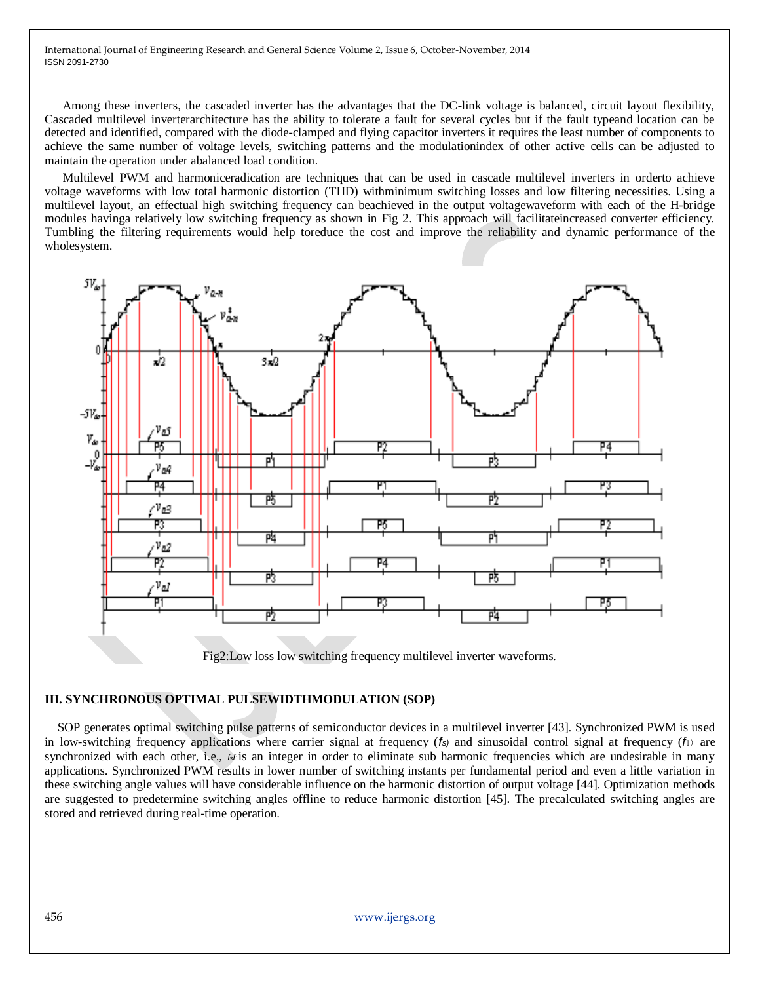Among these inverters, the cascaded inverter has the advantages that the DC-link voltage is balanced, circuit layout flexibility, Cascaded multilevel inverterarchitecture has the ability to tolerate a fault for several cycles but if the fault typeand location can be detected and identified, compared with the diode-clamped and flying capacitor inverters it requires the least number of components to achieve the same number of voltage levels, switching patterns and the modulationindex of other active cells can be adjusted to maintain the operation under abalanced load condition.

Multilevel PWM and harmoniceradication are techniques that can be used in cascade multilevel inverters in orderto achieve voltage waveforms with low total harmonic distortion (THD) withminimum switching losses and low filtering necessities. Using a multilevel layout, an effectual high switching frequency can beachieved in the output voltagewaveform with each of the H-bridge modules havinga relatively low switching frequency as shown in Fig 2. This approach will facilitateincreased converter efficiency. Tumbling the filtering requirements would help toreduce the cost and improve the reliability and dynamic performance of the wholesystem.



Fig2:Low loss low switching frequency multilevel inverter waveforms.

# **III. SYNCHRONOUS OPTIMAL PULSEWIDTHMODULATION (SOP)**

 SOP generates optimal switching pulse patterns of semiconductor devices in a multilevel inverter [43]. Synchronized PWM is used in low-switching frequency applications where carrier signal at frequency (*fs)* and sinusoidal control signal at frequency (*f*1) are synchronized with each other, i.e., *f*<sub>*f*</sub><sup>1</sup>is an integer in order to eliminate sub harmonic frequencies which are undesirable in many applications. Synchronized PWM results in lower number of switching instants per fundamental period and even a little variation in these switching angle values will have considerable influence on the harmonic distortion of output voltage [44]. Optimization methods are suggested to predetermine switching angles offline to reduce harmonic distortion [45]. The precalculated switching angles are stored and retrieved during real-time operation.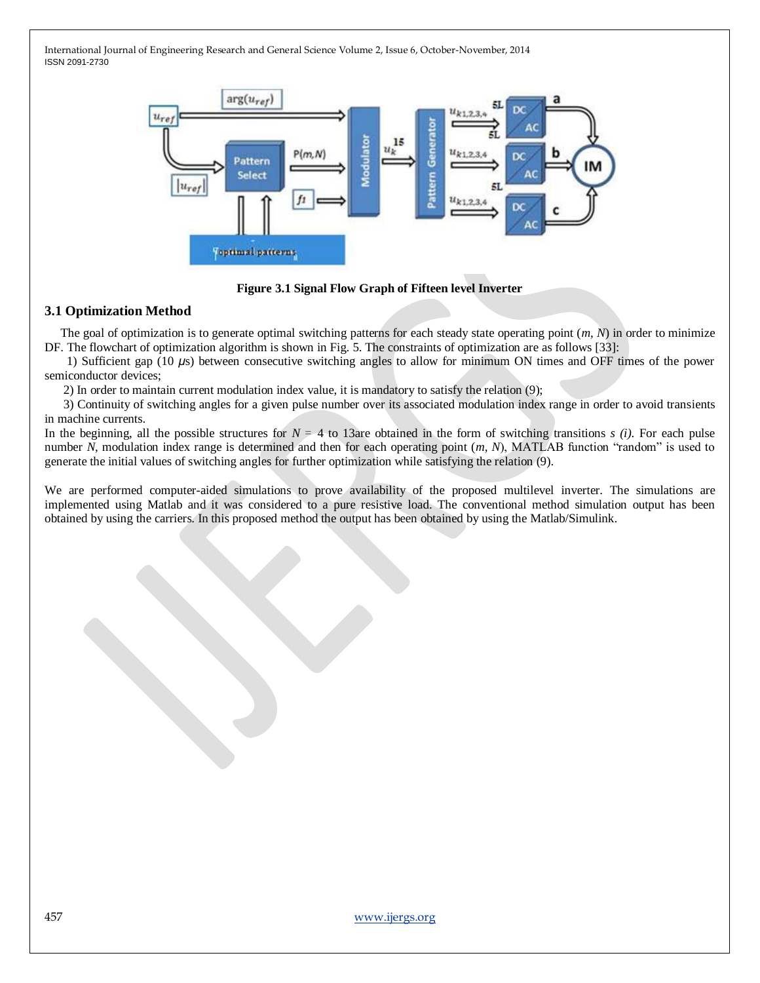

**Figure 3.1 Signal Flow Graph of Fifteen level Inverter**

# **3.1 Optimization Method**

 The goal of optimization is to generate optimal switching patterns for each steady state operating point (*m, N*) in order to minimize DF. The flowchart of optimization algorithm is shown in Fig. 5. The constraints of optimization are as follows [33]:

 1) Sufficient gap (10 *μ*s) between consecutive switching angles to allow for minimum ON times and OFF times of the power semiconductor devices;

2) In order to maintain current modulation index value, it is mandatory to satisfy the relation (9);

 3) Continuity of switching angles for a given pulse number over its associated modulation index range in order to avoid transients in machine currents.

In the beginning, all the possible structures for  $N = 4$  to 13are obtained in the form of switching transitions  $s(i)$ . For each pulse number *N*, modulation index range is determined and then for each operating point (*m*, *N*), MATLAB function "random" is used to generate the initial values of switching angles for further optimization while satisfying the relation (9).

We are performed computer-aided simulations to prove availability of the proposed multilevel inverter. The simulations are implemented using Matlab and it was considered to a pure resistive load. The conventional method simulation output has been obtained by using the carriers. In this proposed method the output has been obtained by using the Matlab/Simulink.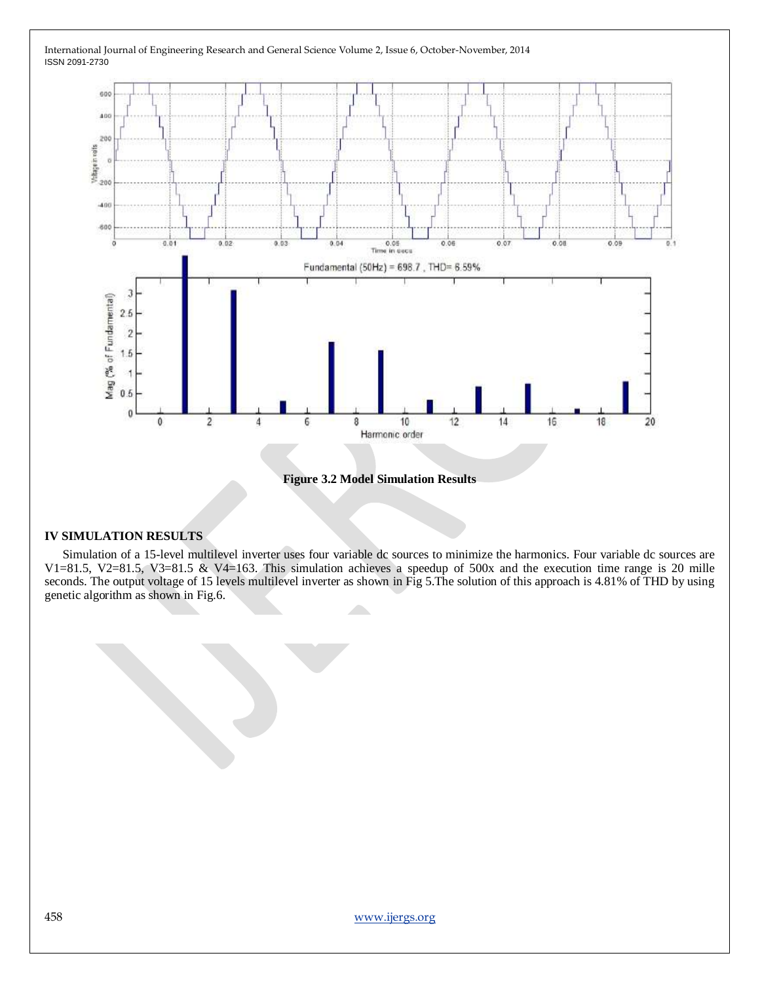

**Figure 3.2 Model Simulation Results**

## **IV SIMULATION RESULTS**

Simulation of a 15-level multilevel inverter uses four variable dc sources to minimize the harmonics. Four variable dc sources are V1=81.5, V2=81.5, V3=81.5 & V4=163. This simulation achieves a speedup of 500x and the execution time range is 20 mille seconds. The output voltage of 15 levels multilevel inverter as shown in Fig 5.The solution of this approach is 4.81% of THD by using genetic algorithm as shown in Fig.6.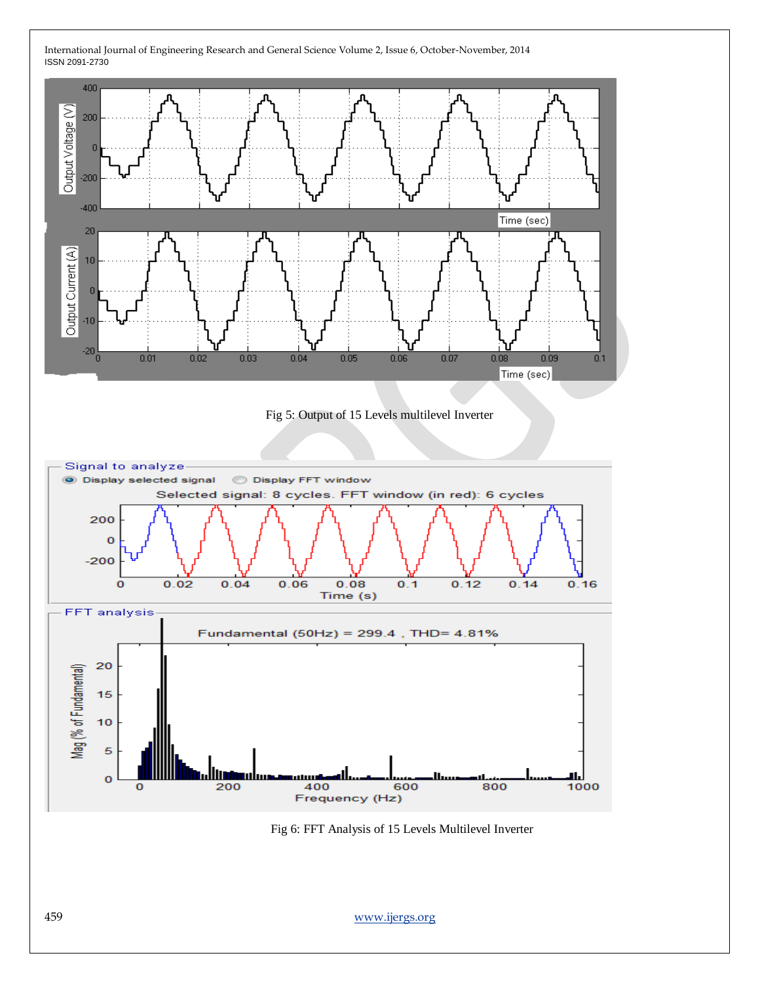



Fig 6: FFT Analysis of 15 Levels Multilevel Inverter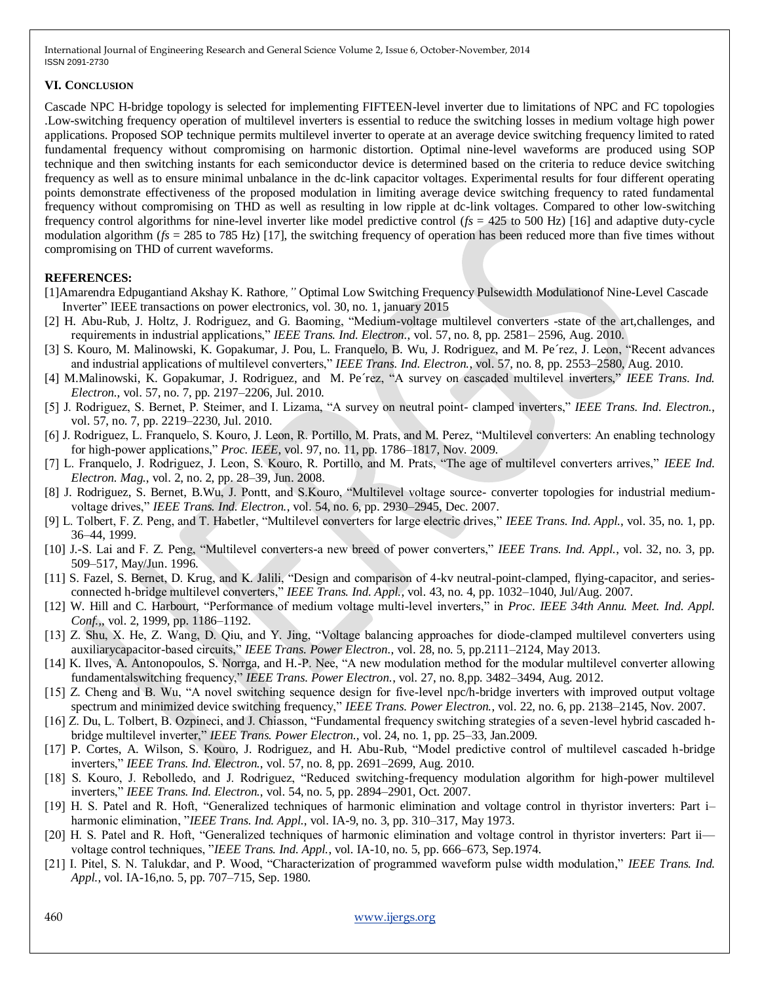### **VI. CONCLUSION**

Cascade NPC H-bridge topology is selected for implementing FIFTEEN-level inverter due to limitations of NPC and FC topologies .Low-switching frequency operation of multilevel inverters is essential to reduce the switching losses in medium voltage high power applications. Proposed SOP technique permits multilevel inverter to operate at an average device switching frequency limited to rated fundamental frequency without compromising on harmonic distortion. Optimal nine-level waveforms are produced using SOP technique and then switching instants for each semiconductor device is determined based on the criteria to reduce device switching frequency as well as to ensure minimal unbalance in the dc-link capacitor voltages. Experimental results for four different operating points demonstrate effectiveness of the proposed modulation in limiting average device switching frequency to rated fundamental frequency without compromising on THD as well as resulting in low ripple at dc-link voltages. Compared to other low-switching frequency control algorithms for nine-level inverter like model predictive control (*fs* = 425 to 500 Hz) [16] and adaptive duty-cycle modulation algorithm ( $f_s = 285$  to 785 Hz) [17], the switching frequency of operation has been reduced more than five times without compromising on THD of current waveforms.

## **REFERENCES:**

- [1]Amarendra Edpugantiand Akshay K. Rathore*,"* Optimal Low Switching Frequency Pulsewidth Modulationof Nine-Level Cascade Inverter" IEEE transactions on power electronics, vol. 30, no. 1, january 2015
- [2] H. Abu-Rub, J. Holtz, J. Rodriguez, and G. Baoming, "Medium-voltage multilevel converters -state of the art,challenges, and requirements in industrial applications," *IEEE Trans. Ind. Electron.*, vol. 57, no. 8, pp. 2581–2596, Aug. 2010.
- [3] S. Kouro, M. Malinowski, K. Gopakumar, J. Pou, L. Franquelo, B. Wu, J. Rodriguez, and M. Pe´rez, J. Leon, "Recent advances and industrial applications of multilevel converters," *IEEE Trans. Ind. Electron.*, vol. 57, no. 8, pp. 2553–2580, Aug. 2010.
- [4] M.Malinowski, K. Gopakumar, J. Rodriguez, and M. Pe'rez, "A survey on cascaded multilevel inverters," *IEEE Trans. Ind. Electron.*, vol. 57, no. 7, pp. 2197–2206, Jul. 2010.
- [5] J. Rodriguez, S. Bernet, P. Steimer, and I. Lizama, "A survey on neutral point-clamped inverters," *IEEE Trans. Ind. Electron.*, vol. 57, no. 7, pp. 2219–2230, Jul. 2010.
- [6] J. Rodriguez, L. Franquelo, S. Kouro, J. Leon, R. Portillo, M. Prats, and M. Perez, "Multilevel converters: An enabling technology for high-power applications," Proc. IEEE, vol. 97, no. 11, pp. 1786–1817, Nov. 2009.
- [7] L. Franquelo, J. Rodriguez, J. Leon, S. Kouro, R. Portillo, and M. Prats, "The age of multilevel converters arrives," IEEE Ind. *Electron. Mag.*, vol. 2, no. 2, pp. 28–39, Jun. 2008.
- [8] J. Rodriguez, S. Bernet, B.Wu, J. Pontt, and S.Kouro, "Multilevel voltage source- converter topologies for industrial mediumvoltage drives,‖ *IEEE Trans. Ind. Electron.*, vol. 54, no. 6, pp. 2930–2945, Dec. 2007.
- [9] L. Tolbert, F. Z. Peng, and T. Habetler, "Multilevel converters for large electric drives," *IEEE Trans. Ind. Appl.*, vol. 35, no. 1, pp. 36–44, 1999.
- [10] J.-S. Lai and F. Z. Peng, "Multilevel converters-a new breed of power converters," *IEEE Trans. Ind. Appl.*, vol. 32, no. 3, pp. 509–517, May/Jun. 1996.
- [11] S. Fazel, S. Bernet, D. Krug, and K. Jalili, "Design and comparison of 4-kv neutral-point-clamped, flying-capacitor, and seriesconnected h-bridge multilevel converters," *IEEE Trans. Ind. Appl.*, vol. 43, no. 4, pp. 1032–1040, Jul/Aug. 2007.
- [12] W. Hill and C. Harbourt, "Performance of medium voltage multi-level inverters," in *Proc. IEEE 34th Annu. Meet. Ind. Appl. Conf.,*, vol. 2, 1999, pp. 1186–1192.
- [13] Z. Shu, X. He, Z. Wang, D. Qiu, and Y. Jing, "Voltage balancing approaches for diode-clamped multilevel converters using auxiliarycapacitor-based circuits," IEEE Trans. Power Electron., vol. 28, no. 5, pp.2111–2124, May 2013.
- [14] K. Ilves, A. Antonopoulos, S. Norrga, and H.-P. Nee, "A new modulation method for the modular multilevel converter allowing fundamentalswitching frequency,‖ *IEEE Trans. Power Electron.*, vol. 27, no. 8,pp. 3482–3494, Aug. 2012.
- [15] Z. Cheng and B. Wu, "A novel switching sequence design for five-level npc/h-bridge inverters with improved output voltage spectrum and minimized device switching frequency," IEEE Trans. Power Electron., vol. 22, no. 6, pp. 2138–2145, Nov. 2007.
- [16] Z. Du, L. Tolbert, B. Ozpineci, and J. Chiasson, "Fundamental frequency switching strategies of a seven-level hybrid cascaded hbridge multilevel inverter," *IEEE Trans. Power Electron.*, vol. 24, no. 1, pp. 25–33, Jan.2009.
- [17] P. Cortes, A. Wilson, S. Kouro, J. Rodriguez, and H. Abu-Rub, "Model predictive control of multilevel cascaded h-bridge inverters,‖ *IEEE Trans. Ind. Electron.*, vol. 57, no. 8, pp. 2691–2699, Aug. 2010.
- [18] S. Kouro, J. Rebolledo, and J. Rodriguez, "Reduced switching-frequency modulation algorithm for high-power multilevel inverters,‖ *IEEE Trans. Ind. Electron.*, vol. 54, no. 5, pp. 2894–2901, Oct. 2007.
- [19] H. S. Patel and R. Hoft, "Generalized techniques of harmonic elimination and voltage control in thyristor inverters: Part i– harmonic elimination, *'IEEE Trans. Ind. Appl.*, vol. IA-9, no. 3, pp. 310–317, May 1973.
- [20] H. S. Patel and R. Hoft, "Generalized techniques of harmonic elimination and voltage control in thyristor inverters: Part ii voltage control techniques, "*IEEE Trans. Ind. Appl.*, vol. IA-10, no. 5, pp. 666–673, Sep.1974.
- [21] I. Pitel, S. N. Talukdar, and P. Wood, "Characterization of programmed waveform pulse width modulation," *IEEE Trans. Ind. Appl.*, vol. IA-16,no. 5, pp. 707–715, Sep. 1980.